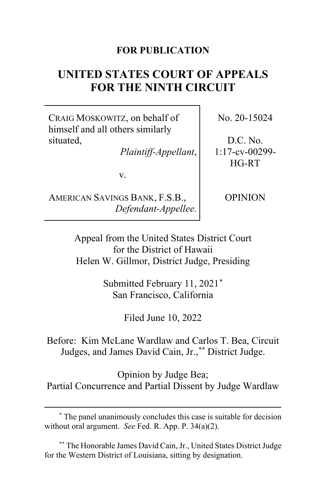## **FOR PUBLICATION**

# **UNITED STATES COURT OF APPEALS FOR THE NINTH CIRCUIT**

CRAIG MOSKOWITZ, on behalf of himself and all others similarly situated,

*Plaintiff-Appellant*,

v.

AMERICAN SAVINGS BANK, F.S.B., *Defendant-Appellee.* No. 20-15024

D.C. No. 1:17-cv-00299- HG-RT

OPINION

Appeal from the United States District Court for the District of Hawaii Helen W. Gillmor, District Judge, Presiding

> Submitted February 11, 2021**[\\*](#page-0-0)** San Francisco, California

> > Filed June 10, 2022

Before: Kim McLane Wardlaw and Carlos T. Bea, Circuit Judges, and James David Cain, Jr.,**[\\*\\*](#page-0-1)** District Judge.

Opinion by Judge Bea; Partial Concurrence and Partial Dissent by Judge Wardlaw

<span id="page-0-0"></span>**<sup>\*</sup>** The panel unanimously concludes this case is suitable for decision without oral argument. *See* Fed. R. App. P. 34(a)(2).

<span id="page-0-1"></span><sup>&</sup>lt;sup>\*\*</sup> The Honorable James David Cain, Jr., United States District Judge for the Western District of Louisiana, sitting by designation.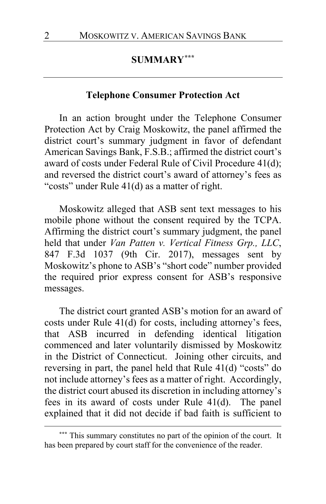## **SUMMARY[\\*\\*\\*](#page-1-0)**

## **Telephone Consumer Protection Act**

In an action brought under the Telephone Consumer Protection Act by Craig Moskowitz, the panel affirmed the district court's summary judgment in favor of defendant American Savings Bank, F.S.B.; affirmed the district court's award of costs under Federal Rule of Civil Procedure 41(d); and reversed the district court's award of attorney's fees as "costs" under Rule 41(d) as a matter of right.

Moskowitz alleged that ASB sent text messages to his mobile phone without the consent required by the TCPA. Affirming the district court's summary judgment, the panel held that under *Van Patten v. Vertical Fitness Grp., LLC*, 847 F.3d 1037 (9th Cir. 2017), messages sent by Moskowitz's phone to ASB's "short code" number provided the required prior express consent for ASB's responsive messages.

The district court granted ASB's motion for an award of costs under Rule 41(d) for costs, including attorney's fees, that ASB incurred in defending identical litigation commenced and later voluntarily dismissed by Moskowitz in the District of Connecticut. Joining other circuits, and reversing in part, the panel held that Rule 41(d) "costs" do not include attorney's fees as a matter of right. Accordingly, the district court abused its discretion in including attorney's fees in its award of costs under Rule 41(d). The panel explained that it did not decide if bad faith is sufficient to

<span id="page-1-0"></span>**<sup>\*\*\*</sup>** This summary constitutes no part of the opinion of the court. It has been prepared by court staff for the convenience of the reader.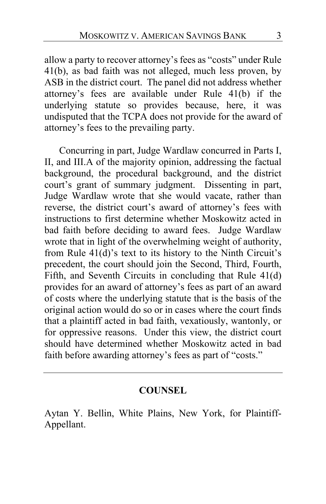allow a party to recover attorney's fees as "costs" under Rule 41(b), as bad faith was not alleged, much less proven, by ASB in the district court. The panel did not address whether attorney's fees are available under Rule 41(b) if the underlying statute so provides because, here, it was undisputed that the TCPA does not provide for the award of attorney's fees to the prevailing party.

Concurring in part, Judge Wardlaw concurred in Parts I, II, and III.A of the majority opinion, addressing the factual background, the procedural background, and the district court's grant of summary judgment. Dissenting in part, Judge Wardlaw wrote that she would vacate, rather than reverse, the district court's award of attorney's fees with instructions to first determine whether Moskowitz acted in bad faith before deciding to award fees. Judge Wardlaw wrote that in light of the overwhelming weight of authority, from Rule 41(d)'s text to its history to the Ninth Circuit's precedent, the court should join the Second, Third, Fourth, Fifth, and Seventh Circuits in concluding that Rule 41(d) provides for an award of attorney's fees as part of an award of costs where the underlying statute that is the basis of the original action would do so or in cases where the court finds that a plaintiff acted in bad faith, vexatiously, wantonly, or for oppressive reasons. Under this view, the district court should have determined whether Moskowitz acted in bad faith before awarding attorney's fees as part of "costs."

## **COUNSEL**

Aytan Y. Bellin, White Plains, New York, for Plaintiff-Appellant.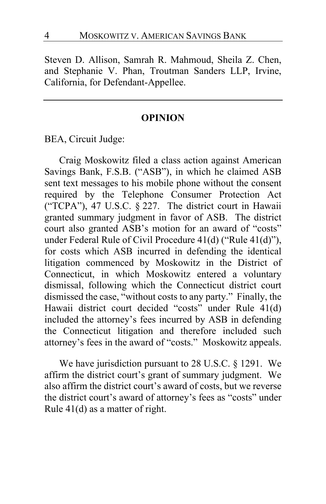Steven D. Allison, Samrah R. Mahmoud, Sheila Z. Chen, and Stephanie V. Phan, Troutman Sanders LLP, Irvine, California, for Defendant-Appellee.

### **OPINION**

BEA, Circuit Judge:

Craig Moskowitz filed a class action against American Savings Bank, F.S.B. ("ASB"), in which he claimed ASB sent text messages to his mobile phone without the consent required by the Telephone Consumer Protection Act ("TCPA"), 47 U.S.C. § 227. The district court in Hawaii granted summary judgment in favor of ASB. The district court also granted ASB's motion for an award of "costs" under Federal Rule of Civil Procedure 41(d) ("Rule 41(d)"), for costs which ASB incurred in defending the identical litigation commenced by Moskowitz in the District of Connecticut, in which Moskowitz entered a voluntary dismissal, following which the Connecticut district court dismissed the case, "without costs to any party." Finally, the Hawaii district court decided "costs" under Rule 41(d) included the attorney's fees incurred by ASB in defending the Connecticut litigation and therefore included such attorney's fees in the award of "costs." Moskowitz appeals.

We have jurisdiction pursuant to 28 U.S.C. § 1291. We affirm the district court's grant of summary judgment. We also affirm the district court's award of costs, but we reverse the district court's award of attorney's fees as "costs" under Rule 41(d) as a matter of right.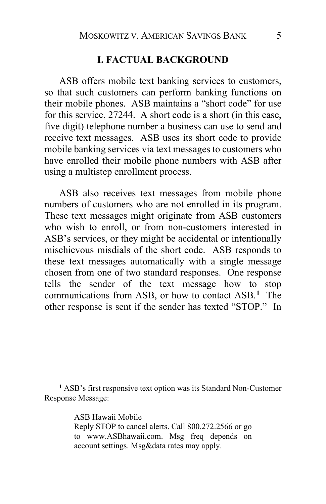### **I. FACTUAL BACKGROUND**

ASB offers mobile text banking services to customers, so that such customers can perform banking functions on their mobile phones. ASB maintains a "short code" for use for this service, 27244. A short code is a short (in this case, five digit) telephone number a business can use to send and receive text messages. ASB uses its short code to provide mobile banking services via text messages to customers who have enrolled their mobile phone numbers with ASB after using a multistep enrollment process.

ASB also receives text messages from mobile phone numbers of customers who are not enrolled in its program. These text messages might originate from ASB customers who wish to enroll, or from non-customers interested in ASB's services, or they might be accidental or intentionally mischievous misdials of the short code. ASB responds to these text messages automatically with a single message chosen from one of two standard responses. One response tells the sender of the text message how to stop communications from ASB, or how to contact ASB.**[1](#page-4-0)** The other response is sent if the sender has texted "STOP." In

ASB Hawaii Mobile Reply STOP to cancel alerts. Call 800.272.2566 or go to www.ASBhawaii.com. Msg freq depends on account settings. Msg&data rates may apply.

<span id="page-4-0"></span>**<sup>1</sup>** ASB's first responsive text option was its Standard Non-Customer Response Message: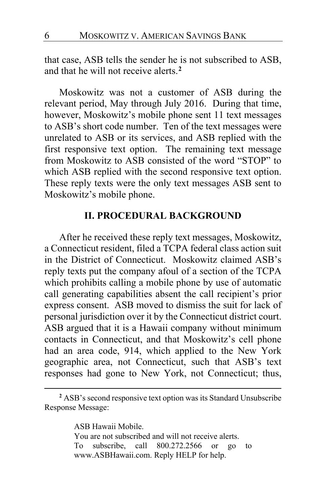that case, ASB tells the sender he is not subscribed to ASB, and that he will not receive alerts.**[2](#page-5-0)**

Moskowitz was not a customer of ASB during the relevant period, May through July 2016. During that time, however, Moskowitz's mobile phone sent 11 text messages to ASB's short code number. Ten of the text messages were unrelated to ASB or its services, and ASB replied with the first responsive text option. The remaining text message from Moskowitz to ASB consisted of the word "STOP" to which ASB replied with the second responsive text option. These reply texts were the only text messages ASB sent to Moskowitz's mobile phone.

### **II. PROCEDURAL BACKGROUND**

After he received these reply text messages, Moskowitz, a Connecticut resident, filed a TCPA federal class action suit in the District of Connecticut. Moskowitz claimed ASB's reply texts put the company afoul of a section of the TCPA which prohibits calling a mobile phone by use of automatic call generating capabilities absent the call recipient's prior express consent. ASB moved to dismiss the suit for lack of personal jurisdiction over it by the Connecticut district court. ASB argued that it is a Hawaii company without minimum contacts in Connecticut, and that Moskowitz's cell phone had an area code, 914, which applied to the New York geographic area, not Connecticut, such that ASB's text responses had gone to New York, not Connecticut; thus,

ASB Hawaii Mobile. You are not subscribed and will not receive alerts. To subscribe, call 800.272.2566 or go to www.ASBHawaii.com. Reply HELP for help.

<span id="page-5-0"></span>**<sup>2</sup>** ASB's second responsive text option was its Standard Unsubscribe Response Message: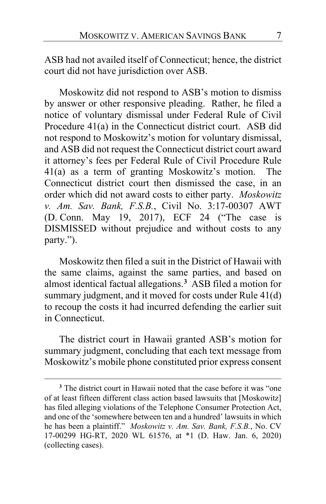ASB had not availed itself of Connecticut; hence, the district court did not have jurisdiction over ASB.

Moskowitz did not respond to ASB's motion to dismiss by answer or other responsive pleading. Rather, he filed a notice of voluntary dismissal under Federal Rule of Civil Procedure 41(a) in the Connecticut district court. ASB did not respond to Moskowitz's motion for voluntary dismissal, and ASB did not request the Connecticut district court award it attorney's fees per Federal Rule of Civil Procedure Rule 41(a) as a term of granting Moskowitz's motion. The Connecticut district court then dismissed the case, in an order which did not award costs to either party. *Moskowitz v. Am. Sav. Bank, F.S.B.*, Civil No. 3:17-00307 AWT (D. Conn. May 19, 2017), ECF 24 ("The case is DISMISSED without prejudice and without costs to any party.").

Moskowitz then filed a suit in the District of Hawaii with the same claims, against the same parties, and based on almost identical factual allegations.**[3](#page-6-0)** ASB filed a motion for summary judgment, and it moved for costs under Rule 41(d) to recoup the costs it had incurred defending the earlier suit in Connecticut.

The district court in Hawaii granted ASB's motion for summary judgment, concluding that each text message from Moskowitz's mobile phone constituted prior express consent

<span id="page-6-0"></span>**<sup>3</sup>** The district court in Hawaii noted that the case before it was "one of at least fifteen different class action based lawsuits that [Moskowitz] has filed alleging violations of the Telephone Consumer Protection Act, and one of the 'somewhere between ten and a hundred' lawsuits in which he has been a plaintiff." *Moskowitz v. Am. Sav. Bank, F.S.B.*, No. CV 17-00299 HG-RT, 2020 WL 61576, at \*1 (D. Haw. Jan. 6, 2020) (collecting cases).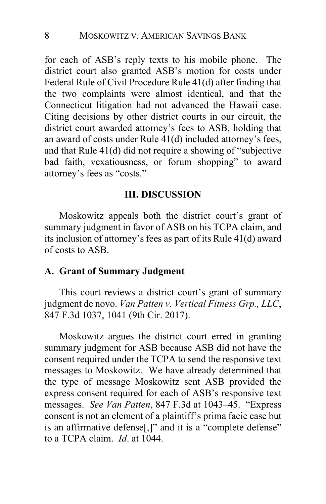for each of ASB's reply texts to his mobile phone. The district court also granted ASB's motion for costs under Federal Rule of Civil Procedure Rule 41(d) after finding that the two complaints were almost identical, and that the Connecticut litigation had not advanced the Hawaii case. Citing decisions by other district courts in our circuit, the district court awarded attorney's fees to ASB, holding that an award of costs under Rule 41(d) included attorney's fees, and that Rule 41(d) did not require a showing of "subjective bad faith, vexatiousness, or forum shopping" to award attorney's fees as "costs."

## **III. DISCUSSION**

Moskowitz appeals both the district court's grant of summary judgment in favor of ASB on his TCPA claim, and its inclusion of attorney's fees as part of its Rule 41(d) award of costs to ASB.

### **A. Grant of Summary Judgment**

This court reviews a district court's grant of summary judgment de novo. *Van Patten v. Vertical Fitness Grp., LLC*, 847 F.3d 1037, 1041 (9th Cir. 2017).

Moskowitz argues the district court erred in granting summary judgment for ASB because ASB did not have the consent required under the TCPA to send the responsive text messages to Moskowitz. We have already determined that the type of message Moskowitz sent ASB provided the express consent required for each of ASB's responsive text messages. *See Van Patten*, 847 F.3d at 1043–45. "Express consent is not an element of a plaintiff's prima facie case but is an affirmative defense[,]" and it is a "complete defense" to a TCPA claim. *Id*. at 1044.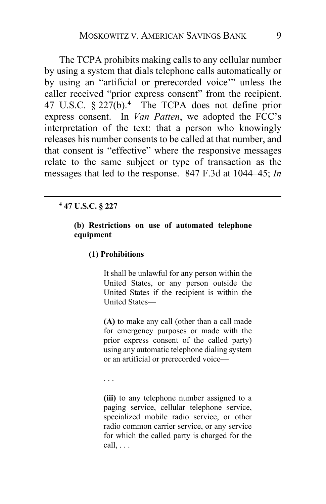The TCPA prohibits making calls to any cellular number by using a system that dials telephone calls automatically or by using an "artificial or prerecorded voice'" unless the caller received "prior express consent" from the recipient. 47 U.S.C. § 227(b).**[4](#page-8-0)** The TCPA does not define prior express consent. In *Van Patten*, we adopted the FCC's interpretation of the text: that a person who knowingly releases his number consents to be called at that number, and that consent is "effective" where the responsive messages relate to the same subject or type of transaction as the messages that led to the response. 847 F.3d at 1044–45; *In* 

### <span id="page-8-0"></span>**<sup>4</sup> 47 U.S.C. § 227**

#### **(b) Restrictions on use of automated telephone equipment**

#### **(1) Prohibitions**

It shall be unlawful for any person within the United States, or any person outside the United States if the recipient is within the United States—

**(A)** to make any call (other than a call made for emergency purposes or made with the prior express consent of the called party) using any automatic telephone dialing system or an artificial or prerecorded voice—

. . .

**(iii)** to any telephone number assigned to a paging service, cellular telephone service, specialized mobile radio service, or other radio common carrier service, or any service for which the called party is charged for the call, . . .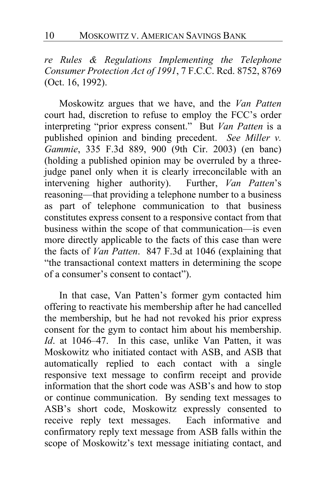*re Rules & Regulations Implementing the Telephone Consumer Protection Act of 1991*, 7 F.C.C. Rcd. 8752, 8769 (Oct. 16, 1992).

Moskowitz argues that we have, and the *Van Patten* court had, discretion to refuse to employ the FCC's order interpreting "prior express consent." But *Van Patten* is a published opinion and binding precedent.*See Miller v. Gammie*, 335 F.3d 889, 900 (9th Cir. 2003) (en banc) (holding a published opinion may be overruled by a threejudge panel only when it is clearly irreconcilable with an intervening higher authority). Further, *Van Patten*'s reasoning—that providing a telephone number to a business as part of telephone communication to that business constitutes express consent to a responsive contact from that business within the scope of that communication—is even more directly applicable to the facts of this case than were the facts of *Van Patten*. 847 F.3d at 1046 (explaining that "the transactional context matters in determining the scope of a consumer's consent to contact").

In that case, Van Patten's former gym contacted him offering to reactivate his membership after he had cancelled the membership, but he had not revoked his prior express consent for the gym to contact him about his membership. *Id*. at 1046–47. In this case, unlike Van Patten, it was Moskowitz who initiated contact with ASB, and ASB that automatically replied to each contact with a single responsive text message to confirm receipt and provide information that the short code was ASB's and how to stop or continue communication. By sending text messages to ASB's short code, Moskowitz expressly consented to receive reply text messages. Each informative and confirmatory reply text message from ASB falls within the scope of Moskowitz's text message initiating contact, and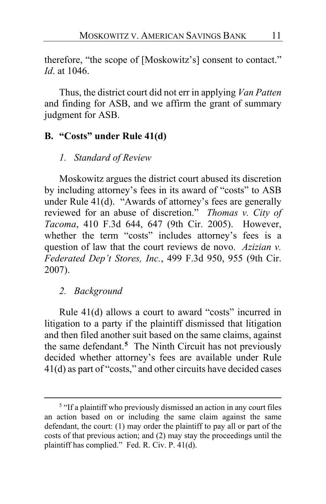therefore, "the scope of [Moskowitz's] consent to contact." *Id*. at 1046.

Thus, the district court did not err in applying *Van Patten* and finding for ASB, and we affirm the grant of summary judgment for ASB.

## **B. "Costs" under Rule 41(d)**

## *1. Standard of Review*

Moskowitz argues the district court abused its discretion by including attorney's fees in its award of "costs" to ASB under Rule 41(d). "Awards of attorney's fees are generally reviewed for an abuse of discretion." *Thomas v. City of Tacoma*, 410 F.3d 644, 647 (9th Cir. 2005). However, whether the term "costs" includes attorney's fees is a question of law that the court reviews de novo. *Azizian v. Federated Dep't Stores, Inc.*, 499 F.3d 950, 955 (9th Cir. 2007).

## *2. Background*

Rule 41(d) allows a court to award "costs" incurred in litigation to a party if the plaintiff dismissed that litigation and then filed another suit based on the same claims, against the same defendant.**[5](#page-10-0)** The Ninth Circuit has not previously decided whether attorney's fees are available under Rule 41(d) as part of "costs," and other circuits have decided cases

<span id="page-10-0"></span><sup>&</sup>lt;sup>5</sup> "If a plaintiff who previously dismissed an action in any court files an action based on or including the same claim against the same defendant, the court: (1) may order the plaintiff to pay all or part of the costs of that previous action; and (2) may stay the proceedings until the plaintiff has complied." Fed. R. Civ. P. 41(d).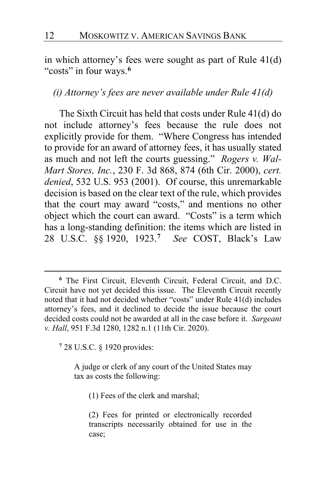in which attorney's fees were sought as part of Rule 41(d) "costs" in four ways.**[6](#page-11-0)**

## *(i) Attorney's fees are never available under Rule 41(d)*

The Sixth Circuit has held that costs under Rule 41(d) do not include attorney's fees because the rule does not explicitly provide for them. "Where Congress has intended to provide for an award of attorney fees, it has usually stated as much and not left the courts guessing." *Rogers v. Wal-Mart Stores, Inc.*, 230 F. 3d 868, 874 (6th Cir. 2000), *cert. denied*, 532 U.S. 953 (2001). Of course, this unremarkable decision is based on the clear text of the rule, which provides that the court may award "costs," and mentions no other object which the court can award. "Costs" is a term which has a long-standing definition: the items which are listed in 28 U.S.C. §§ 1920, 1923.**[7](#page-11-1)** *See* COST, Black's Law

<span id="page-11-1"></span>**<sup>7</sup>** 28 U.S.C. § 1920 provides:

A judge or clerk of any court of the United States may tax as costs the following:

(1) Fees of the clerk and marshal;

<span id="page-11-0"></span>**<sup>6</sup>** The First Circuit, Eleventh Circuit, Federal Circuit, and D.C. Circuit have not yet decided this issue. The Eleventh Circuit recently noted that it had not decided whether "costs" under Rule 41(d) includes attorney's fees, and it declined to decide the issue because the court decided costs could not be awarded at all in the case before it. *Sargeant v. Hall*, 951 F.3d 1280, 1282 n.1 (11th Cir. 2020).

<sup>(2)</sup> Fees for printed or electronically recorded transcripts necessarily obtained for use in the case;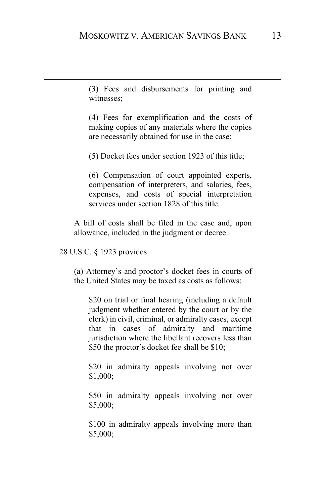(3) Fees and disbursements for printing and witnesses;

(4) Fees for exemplification and the costs of making copies of any materials where the copies are necessarily obtained for use in the case;

(5) Docket fees under section 1923 of this title;

(6) Compensation of court appointed experts, compensation of interpreters, and salaries, fees, expenses, and costs of special interpretation services under section 1828 of this title.

A bill of costs shall be filed in the case and, upon allowance, included in the judgment or decree.

28 U.S.C. § 1923 provides:

(a) Attorney's and proctor's docket fees in courts of the United States may be taxed as costs as follows:

\$20 on trial or final hearing (including a default judgment whether entered by the court or by the clerk) in civil, criminal, or admiralty cases, except that in cases of admiralty and maritime jurisdiction where the libellant recovers less than \$50 the proctor's docket fee shall be \$10;

\$20 in admiralty appeals involving not over \$1,000;

\$50 in admiralty appeals involving not over \$5,000;

\$100 in admiralty appeals involving more than \$5,000;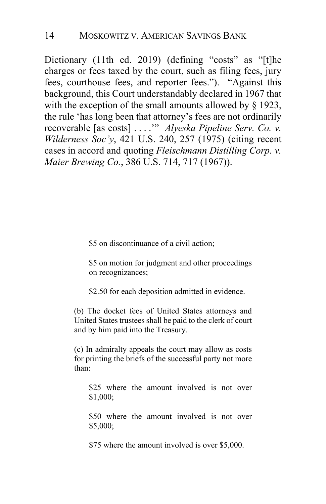Dictionary (11th ed. 2019) (defining "costs" as "[t]he charges or fees taxed by the court, such as filing fees, jury fees, courthouse fees, and reporter fees."). "Against this background, this Court understandably declared in 1967 that with the exception of the small amounts allowed by  $\S$  1923, the rule 'has long been that attorney's fees are not ordinarily recoverable [as costs] . . . .'" *Alyeska Pipeline Serv. Co. v. Wilderness Soc'y*, 421 U.S. 240, 257 (1975) (citing recent cases in accord and quoting *Fleischmann Distilling Corp. v. Maier Brewing Co.*, 386 U.S. 714, 717 (1967)).

\$5 on discontinuance of a civil action;

\$5 on motion for judgment and other proceedings on recognizances;

\$2.50 for each deposition admitted in evidence.

(b) The docket fees of United States attorneys and United States trustees shall be paid to the clerk of court and by him paid into the Treasury.

(c) In admiralty appeals the court may allow as costs for printing the briefs of the successful party not more than:

\$25 where the amount involved is not over \$1,000;

\$50 where the amount involved is not over \$5,000;

\$75 where the amount involved is over \$5,000.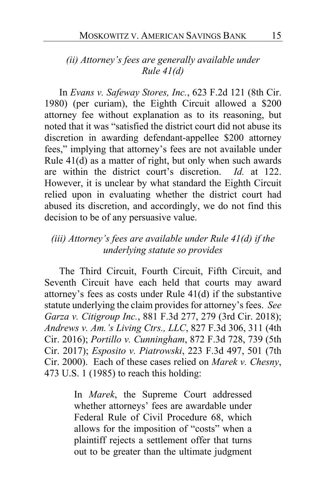## *(ii) Attorney's fees are generally available under Rule 41(d)*

In *Evans v. Safeway Stores, Inc.*, 623 F.2d 121 (8th Cir. 1980) (per curiam), the Eighth Circuit allowed a \$200 attorney fee without explanation as to its reasoning, but noted that it was "satisfied the district court did not abuse its discretion in awarding defendant-appellee \$200 attorney fees," implying that attorney's fees are not available under Rule 41(d) as a matter of right, but only when such awards are within the district court's discretion. *Id.* at 122. However, it is unclear by what standard the Eighth Circuit relied upon in evaluating whether the district court had abused its discretion, and accordingly, we do not find this decision to be of any persuasive value.

## *(iii) Attorney's fees are available under Rule 41(d) if the underlying statute so provides*

The Third Circuit, Fourth Circuit, Fifth Circuit, and Seventh Circuit have each held that courts may award attorney's fees as costs under Rule 41(d) if the substantive statute underlying the claim provides for attorney's fees. *See Garza v. Citigroup Inc.*, 881 F.3d 277, 279 (3rd Cir. 2018); *Andrews v. Am.'s Living Ctrs., LLC*, 827 F.3d 306, 311 (4th Cir. 2016); *Portillo v. Cunningham*, 872 F.3d 728, 739 (5th Cir. 2017); *Esposito v. Piatrowski*, 223 F.3d 497, 501 (7th Cir. 2000). Each of these cases relied on *Marek v. Chesny*, 473 U.S. 1 (1985) to reach this holding:

> In *Marek*, the Supreme Court addressed whether attorneys' fees are awardable under Federal Rule of Civil Procedure 68, which allows for the imposition of "costs" when a plaintiff rejects a settlement offer that turns out to be greater than the ultimate judgment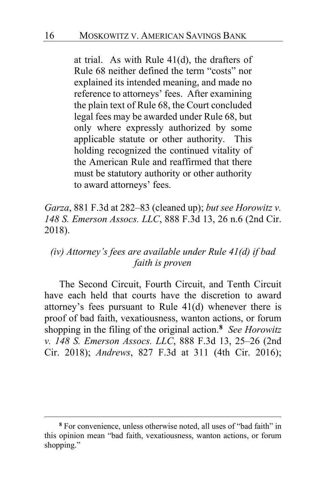at trial. As with Rule 41(d), the drafters of Rule 68 neither defined the term "costs" nor explained its intended meaning, and made no reference to attorneys' fees. After examining the plain text of Rule 68, the Court concluded legal fees may be awarded under Rule 68, but only where expressly authorized by some applicable statute or other authority. This holding recognized the continued vitality of the American Rule and reaffirmed that there must be statutory authority or other authority to award attorneys' fees.

*Garza*, 881 F.3d at 282–83 (cleaned up); *but see Horowitz v. 148 S. Emerson Assocs. LLC*, 888 F.3d 13, 26 n.6 (2nd Cir. 2018).

## *(iv) Attorney's fees are available under Rule 41(d) if bad faith is proven*

The Second Circuit, Fourth Circuit, and Tenth Circuit have each held that courts have the discretion to award attorney's fees pursuant to Rule 41(d) whenever there is proof of bad faith, vexatiousness, wanton actions, or forum shopping in the filing of the original action.**[8](#page-15-0)** *See Horowitz v. 148 S. Emerson Assocs. LLC*, 888 F.3d 13, 25–26 (2nd Cir. 2018); *Andrews*, 827 F.3d at 311 (4th Cir. 2016);

<span id="page-15-0"></span>**<sup>8</sup>** For convenience, unless otherwise noted, all uses of "bad faith" in this opinion mean "bad faith, vexatiousness, wanton actions, or forum shopping."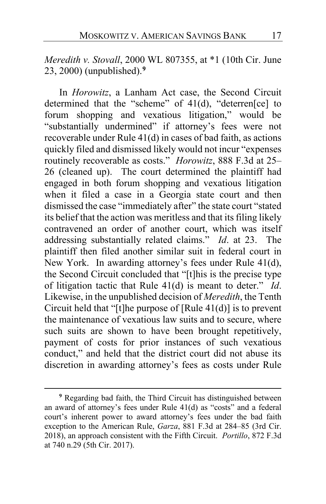*Meredith v. Stovall*, 2000 WL 807355, at \*1 (10th Cir. June 23, 2000) (unpublished). **[9](#page-16-0)**

In *Horowitz*, a Lanham Act case, the Second Circuit determined that the "scheme" of 41(d), "deterren[ce] to forum shopping and vexatious litigation," would be "substantially undermined" if attorney's fees were not recoverable under Rule 41(d) in cases of bad faith, as actions quickly filed and dismissed likely would not incur "expenses routinely recoverable as costs." *Horowitz*, 888 F.3d at 25– 26 (cleaned up). The court determined the plaintiff had engaged in both forum shopping and vexatious litigation when it filed a case in a Georgia state court and then dismissed the case "immediately after" the state court "stated its belief that the action was meritless and that its filing likely contravened an order of another court, which was itself addressing substantially related claims." *Id*. at 23. The plaintiff then filed another similar suit in federal court in New York. In awarding attorney's fees under Rule 41(d), the Second Circuit concluded that "[t]his is the precise type of litigation tactic that Rule 41(d) is meant to deter." *Id*. Likewise, in the unpublished decision of *Meredith*, the Tenth Circuit held that "[t]he purpose of [Rule 41(d)] is to prevent the maintenance of vexatious law suits and to secure, where such suits are shown to have been brought repetitively, payment of costs for prior instances of such vexatious conduct," and held that the district court did not abuse its discretion in awarding attorney's fees as costs under Rule

<span id="page-16-0"></span>**<sup>9</sup>** Regarding bad faith, the Third Circuit has distinguished between an award of attorney's fees under Rule 41(d) as "costs" and a federal court's inherent power to award attorney's fees under the bad faith exception to the American Rule, *Garza*, 881 F.3d at 284–85 (3rd Cir. 2018), an approach consistent with the Fifth Circuit. *Portillo*, 872 F.3d at 740 n.29 (5th Cir. 2017).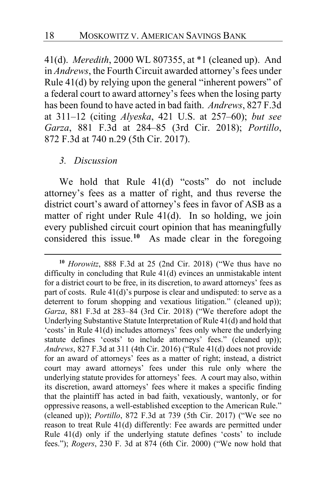41(d). *Meredith*, 2000 WL 807355, at \*1 (cleaned up). And in *Andrews*, the Fourth Circuit awarded attorney's fees under Rule 41(d) by relying upon the general "inherent powers" of a federal court to award attorney's fees when the losing party has been found to have acted in bad faith. *Andrews*, 827 F.3d at 311–12 (citing *Alyeska*, 421 U.S. at 257–60); *but see Garza*, 881 F.3d at 284–85 (3rd Cir. 2018); *Portillo*, 872 F.3d at 740 n.29 (5th Cir. 2017).

## *3. Discussion*

We hold that Rule 41(d) "costs" do not include attorney's fees as a matter of right, and thus reverse the district court's award of attorney's fees in favor of ASB as a matter of right under Rule 41(d). In so holding, we join every published circuit court opinion that has meaningfully considered this issue.**[10](#page-17-0)** As made clear in the foregoing

<span id="page-17-0"></span>**<sup>10</sup>** *Horowitz*, 888 F.3d at 25 (2nd Cir. 2018) ("We thus have no difficulty in concluding that Rule 41(d) evinces an unmistakable intent for a district court to be free, in its discretion, to award attorneys' fees as part of costs. Rule 41(d)'s purpose is clear and undisputed: to serve as a deterrent to forum shopping and vexatious litigation." (cleaned up)); *Garza*, 881 F.3d at 283–84 (3rd Cir. 2018) ("We therefore adopt the Underlying Substantive Statute Interpretation of Rule 41(d) and hold that 'costs' in Rule 41(d) includes attorneys' fees only where the underlying statute defines 'costs' to include attorneys' fees." (cleaned up)); *Andrews*, 827 F.3d at 311 (4th Cir. 2016) ("Rule 41(d) does not provide for an award of attorneys' fees as a matter of right; instead, a district court may award attorneys' fees under this rule only where the underlying statute provides for attorneys' fees. A court may also, within its discretion, award attorneys' fees where it makes a specific finding that the plaintiff has acted in bad faith, vexatiously, wantonly, or for oppressive reasons, a well-established exception to the American Rule." (cleaned up)); *Portillo*, 872 F.3d at 739 (5th Cir. 2017) ("We see no reason to treat Rule 41(d) differently: Fee awards are permitted under Rule 41(d) only if the underlying statute defines 'costs' to include fees."); *Rogers*, 230 F. 3d at 874 (6th Cir. 2000) ("We now hold that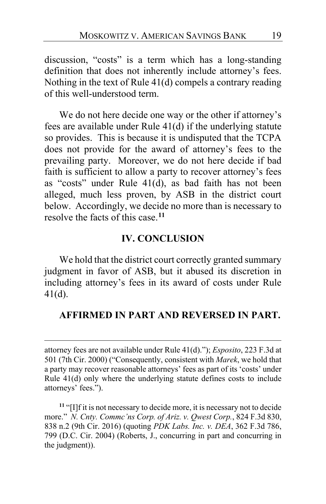discussion, "costs" is a term which has a long-standing definition that does not inherently include attorney's fees. Nothing in the text of Rule 41(d) compels a contrary reading of this well-understood term.

We do not here decide one way or the other if attorney's fees are available under Rule 41(d) if the underlying statute so provides. This is because it is undisputed that the TCPA does not provide for the award of attorney's fees to the prevailing party. Moreover, we do not here decide if bad faith is sufficient to allow a party to recover attorney's fees as "costs" under Rule 41(d), as bad faith has not been alleged, much less proven, by ASB in the district court below. Accordingly, we decide no more than is necessary to resolve the facts of this case.**[11](#page-18-0)**

### **IV. CONCLUSION**

We hold that the district court correctly granted summary judgment in favor of ASB, but it abused its discretion in including attorney's fees in its award of costs under Rule 41(d).

### **AFFIRMED IN PART AND REVERSED IN PART.**

attorney fees are not available under Rule 41(d)."); *Esposito*, 223 F.3d at 501 (7th Cir. 2000) ("Consequently, consistent with *Marek*, we hold that a party may recover reasonable attorneys' fees as part of its 'costs' under Rule 41(d) only where the underlying statute defines costs to include attorneys' fees.").

<span id="page-18-0"></span>**<sup>11</sup>** "[I]f it is not necessary to decide more, it is necessary not to decide more." *N. Cnty. Commc'ns Corp. of Ariz. v. Qwest Corp.*, 824 F.3d 830, 838 n.2 (9th Cir. 2016) (quoting *PDK Labs. Inc. v. DEA*, 362 F.3d 786, 799 (D.C. Cir. 2004) (Roberts, J., concurring in part and concurring in the judgment)).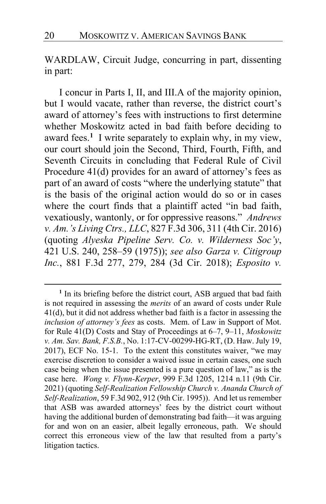WARDLAW, Circuit Judge, concurring in part, dissenting in part:

I concur in Parts I, II, and III.A of the majority opinion, but I would vacate, rather than reverse, the district court's award of attorney's fees with instructions to first determine whether Moskowitz acted in bad faith before deciding to award fees.**[1](#page-19-0)** I write separately to explain why, in my view, our court should join the Second, Third, Fourth, Fifth, and Seventh Circuits in concluding that Federal Rule of Civil Procedure 41(d) provides for an award of attorney's fees as part of an award of costs "where the underlying statute" that is the basis of the original action would do so or in cases where the court finds that a plaintiff acted "in bad faith, vexatiously, wantonly, or for oppressive reasons." *Andrews v. Am.'s Living Ctrs., LLC*, 827 F.3d 306, 311 (4th Cir. 2016) (quoting *Alyeska Pipeline Serv. Co. v. Wilderness Soc'y*, 421 U.S. 240, 258–59 (1975)); *see also Garza v. Citigroup Inc.*, 881 F.3d 277, 279, 284 (3d Cir. 2018); *Esposito v.* 

<span id="page-19-0"></span>**<sup>1</sup>** In its briefing before the district court, ASB argued that bad faith is not required in assessing the *merits* of an award of costs under Rule 41(d), but it did not address whether bad faith is a factor in assessing the *inclusion of attorney's fees* as costs. Mem. of Law in Support of Mot. for Rule 41(D) Costs and Stay of Proceedings at 6–7, 9–11, *Moskowitz v. Am. Sav. Bank, F.S.B.*, No. 1:17-CV-00299-HG-RT, (D. Haw. July 19, 2017), ECF No. 15-1. To the extent this constitutes waiver, "we may exercise discretion to consider a waived issue in certain cases, one such case being when the issue presented is a pure question of law," as is the case here. *Wong v. Flynn-Kerper*, 999 F.3d 1205, 1214 n.11 (9th Cir. 2021) (quoting *Self-Realization Fellowship Church v. Ananda Church of Self-Realization*, 59 F.3d 902, 912 (9th Cir. 1995)). And let us remember that ASB was awarded attorneys' fees by the district court without having the additional burden of demonstrating bad faith—it was arguing for and won on an easier, albeit legally erroneous, path. We should correct this erroneous view of the law that resulted from a party's litigation tactics.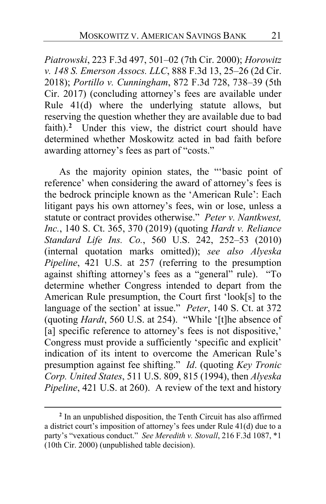*Piatrowski*, 223 F.3d 497, 501–02 (7th Cir. 2000); *Horowitz v. 148 S. Emerson Assocs. LLC*, 888 F.3d 13, 25–26 (2d Cir. 2018); *Portillo v. Cunningham*, 872 F.3d 728, 738–39 (5th Cir. 2017) (concluding attorney's fees are available under Rule 41(d) where the underlying statute allows, but reserving the question whether they are available due to bad faith).**[2](#page-20-0)** Under this view, the district court should have determined whether Moskowitz acted in bad faith before awarding attorney's fees as part of "costs."

As the majority opinion states, the "'basic point of reference' when considering the award of attorney's fees is the bedrock principle known as the 'American Rule': Each litigant pays his own attorney's fees, win or lose, unless a statute or contract provides otherwise." *Peter v. Nantkwest, Inc.*, 140 S. Ct. 365, 370 (2019) (quoting *Hardt v. Reliance Standard Life Ins. Co.*, 560 U.S. 242, 252–53 (2010) (internal quotation marks omitted)); *see also Alyeska Pipeline*, 421 U.S. at 257 (referring to the presumption against shifting attorney's fees as a "general" rule). "To determine whether Congress intended to depart from the American Rule presumption, the Court first 'look[s] to the language of the section' at issue." *Peter*, 140 S. Ct. at 372 (quoting *Hardt*, 560 U.S. at 254). "While '[t]he absence of [a] specific reference to attorney's fees is not dispositive,' Congress must provide a sufficiently 'specific and explicit' indication of its intent to overcome the American Rule's presumption against fee shifting." *Id*. (quoting *Key Tronic Corp. United States*, 511 U.S. 809, 815 (1994), then *Alyeska Pipeline*, 421 U.S. at 260). A review of the text and history

<span id="page-20-0"></span>**<sup>2</sup>** In an unpublished disposition, the Tenth Circuit has also affirmed a district court's imposition of attorney's fees under Rule 41(d) due to a party's "vexatious conduct." *See Meredith v. Stovall*, 216 F.3d 1087, \*1 (10th Cir. 2000) (unpublished table decision).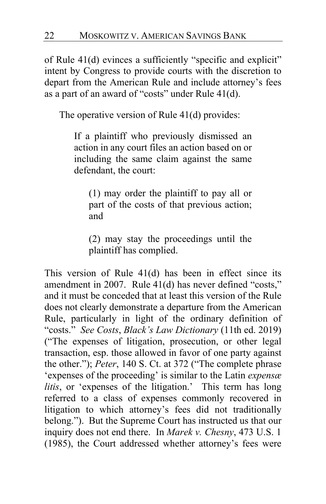of Rule 41(d) evinces a sufficiently "specific and explicit" intent by Congress to provide courts with the discretion to depart from the American Rule and include attorney's fees as a part of an award of "costs" under Rule 41(d).

The operative version of Rule 41(d) provides:

If a plaintiff who previously dismissed an action in any court files an action based on or including the same claim against the same defendant, the court:

(1) may order the plaintiff to pay all or part of the costs of that previous action; and

(2) may stay the proceedings until the plaintiff has complied.

This version of Rule 41(d) has been in effect since its amendment in 2007. Rule 41(d) has never defined "costs," and it must be conceded that at least this version of the Rule does not clearly demonstrate a departure from the American Rule, particularly in light of the ordinary definition of "costs." *See Costs*, *Black's Law Dictionary* (11th ed. 2019) ("The expenses of litigation, prosecution, or other legal transaction, esp. those allowed in favor of one party against the other."); *Peter*, 140 S. Ct. at 372 ("The complete phrase 'expenses of the proceeding' is similar to the Latin *expensæ litis*, or 'expenses of the litigation.' This term has long referred to a class of expenses commonly recovered in litigation to which attorney's fees did not traditionally belong."). But the Supreme Court has instructed us that our inquiry does not end there. In *Marek v. Chesny*, 473 U.S. 1 (1985), the Court addressed whether attorney's fees were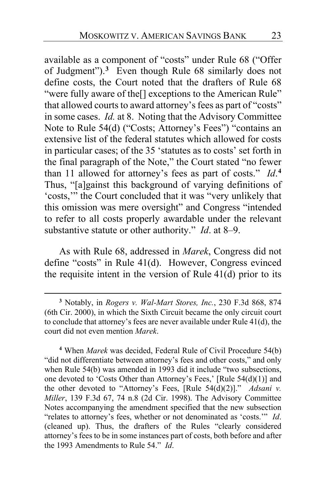available as a component of "costs" under Rule 68 ("Offer of Judgment").**[3](#page-22-0)** Even though Rule 68 similarly does not define costs, the Court noted that the drafters of Rule 68 "were fully aware of the<sup>[]</sup> exceptions to the American Rule" that allowed courts to award attorney's fees as part of "costs" in some cases. *Id.* at 8. Noting that the Advisory Committee Note to Rule 54(d) ("Costs; Attorney's Fees") "contains an extensive list of the federal statutes which allowed for costs in particular cases; of the 35 'statutes as to costs' set forth in the final paragraph of the Note," the Court stated "no fewer than 11 allowed for attorney's fees as part of costs." *Id*. **[4](#page-22-1)** Thus, "[a]gainst this background of varying definitions of 'costs,'" the Court concluded that it was "very unlikely that this omission was mere oversight" and Congress "intended to refer to all costs properly awardable under the relevant substantive statute or other authority." *Id*. at 8–9.

As with Rule 68, addressed in *Marek*, Congress did not define "costs" in Rule 41(d). However, Congress evinced the requisite intent in the version of Rule 41(d) prior to its

<span id="page-22-0"></span>**<sup>3</sup>** Notably, in *Rogers v. Wal-Mart Stores, Inc.*, 230 F.3d 868, 874 (6th Cir. 2000), in which the Sixth Circuit became the only circuit court to conclude that attorney's fees are never available under Rule 41(d), the court did not even mention *Marek*.

<span id="page-22-1"></span>**<sup>4</sup>** When *Marek* was decided, Federal Rule of Civil Procedure 54(b) "did not differentiate between attorney's fees and other costs," and only when Rule 54(b) was amended in 1993 did it include "two subsections, one devoted to 'Costs Other than Attorney's Fees,' [Rule 54(d)(1)] and the other devoted to "Attorney's Fees, [Rule 54(d)(2)]." *Adsani v. Miller*, 139 F.3d 67, 74 n.8 (2d Cir. 1998). The Advisory Committee Notes accompanying the amendment specified that the new subsection "relates to attorney's fees, whether or not denominated as 'costs.'" *Id*. (cleaned up). Thus, the drafters of the Rules "clearly considered attorney's fees to be in some instances part of costs, both before and after the 1993 Amendments to Rule 54." *Id*.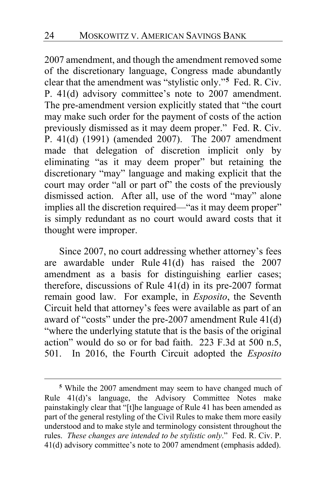2007 amendment, and though the amendment removed some of the discretionary language, Congress made abundantly clear that the amendment was "stylistic only."**[5](#page-23-0)** Fed. R. Civ. P. 41(d) advisory committee's note to 2007 amendment. The pre-amendment version explicitly stated that "the court may make such order for the payment of costs of the action previously dismissed as it may deem proper." Fed. R. Civ. P. 41(d) (1991) (amended 2007). The 2007 amendment made that delegation of discretion implicit only by eliminating "as it may deem proper" but retaining the discretionary "may" language and making explicit that the court may order "all or part of" the costs of the previously dismissed action. After all, use of the word "may" alone implies all the discretion required—"as it may deem proper" is simply redundant as no court would award costs that it thought were improper.

Since 2007, no court addressing whether attorney's fees are awardable under Rule 41(d) has raised the 2007 amendment as a basis for distinguishing earlier cases; therefore, discussions of Rule 41(d) in its pre-2007 format remain good law. For example, in *Esposito*, the Seventh Circuit held that attorney's fees were available as part of an award of "costs" under the pre-2007 amendment Rule 41(d) "where the underlying statute that is the basis of the original action" would do so or for bad faith. 223 F.3d at 500 n.5, 501. In 2016, the Fourth Circuit adopted the *Esposito*

<span id="page-23-0"></span>**<sup>5</sup>** While the 2007 amendment may seem to have changed much of Rule 41(d)'s language, the Advisory Committee Notes make painstakingly clear that "[t]he language of Rule 41 has been amended as part of the general restyling of the Civil Rules to make them more easily understood and to make style and terminology consistent throughout the rules. *These changes are intended to be stylistic only*." Fed. R. Civ. P. 41(d) advisory committee's note to 2007 amendment (emphasis added).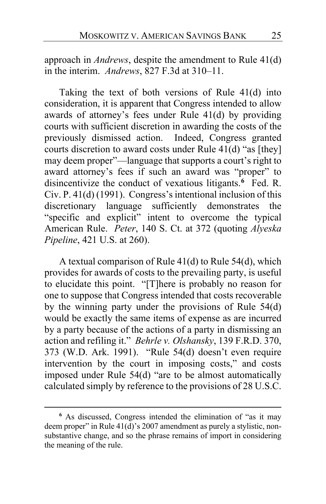approach in *Andrews*, despite the amendment to Rule 41(d) in the interim. *Andrews*, 827 F.3d at 310–11.

Taking the text of both versions of Rule 41(d) into consideration, it is apparent that Congress intended to allow awards of attorney's fees under Rule 41(d) by providing courts with sufficient discretion in awarding the costs of the previously dismissed action. Indeed, Congress granted courts discretion to award costs under Rule 41(d) "as [they] may deem proper"—language that supports a court's right to award attorney's fees if such an award was "proper" to disincentivize the conduct of vexatious litigants.**[6](#page-24-0)** Fed. R. Civ. P. 41(d) (1991). Congress's intentional inclusion of this discretionary language sufficiently demonstrates the "specific and explicit" intent to overcome the typical American Rule. *Peter*, 140 S. Ct. at 372 (quoting *Alyeska Pipeline*, 421 U.S. at 260).

A textual comparison of Rule 41(d) to Rule 54(d), which provides for awards of costs to the prevailing party, is useful to elucidate this point. "[T]here is probably no reason for one to suppose that Congress intended that costs recoverable by the winning party under the provisions of Rule 54(d) would be exactly the same items of expense as are incurred by a party because of the actions of a party in dismissing an action and refiling it." *Behrle v. Olshansky*, 139 F.R.D. 370, 373 (W.D. Ark. 1991). "Rule 54(d) doesn't even require intervention by the court in imposing costs," and costs imposed under Rule 54(d) "are to be almost automatically calculated simply by reference to the provisions of 28 U.S.C.

<span id="page-24-0"></span>**<sup>6</sup>** As discussed, Congress intended the elimination of "as it may deem proper" in Rule 41(d)'s 2007 amendment as purely a stylistic, nonsubstantive change, and so the phrase remains of import in considering the meaning of the rule.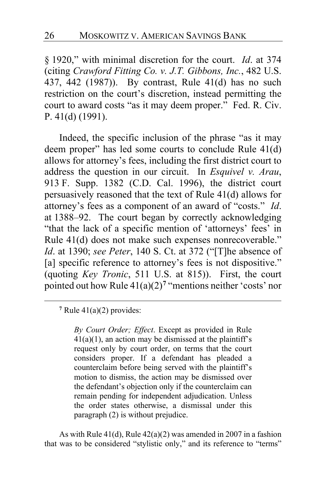§ 1920," with minimal discretion for the court. *Id*. at 374 (citing *Crawford Fitting Co. v. J.T. Gibbons, Inc.*, 482 U.S. 437, 442 (1987)). By contrast, Rule 41(d) has no such restriction on the court's discretion, instead permitting the court to award costs "as it may deem proper." Fed. R. Civ. P. 41(d) (1991).

Indeed, the specific inclusion of the phrase "as it may deem proper" has led some courts to conclude Rule 41(d) allows for attorney's fees, including the first district court to address the question in our circuit. In *Esquivel v. Arau*, 913 F. Supp. 1382 (C.D. Cal. 1996), the district court persuasively reasoned that the text of Rule 41(d) allows for attorney's fees as a component of an award of "costs." *Id*. at 1388–92. The court began by correctly acknowledging "that the lack of a specific mention of 'attorneys' fees' in Rule 41(d) does not make such expenses nonrecoverable." *Id*. at 1390; *see Peter*, 140 S. Ct. at 372 ("[T]he absence of [a] specific reference to attorney's fees is not dispositive." (quoting *Key Tronic*, 511 U.S. at 815)). First, the court pointed out how Rule  $41(a)(2)^7$  $41(a)(2)^7$  "mentions neither 'costs' nor

*By Court Order; Effect*. Except as provided in Rule  $41(a)(1)$ , an action may be dismissed at the plaintiff's request only by court order, on terms that the court considers proper. If a defendant has pleaded a counterclaim before being served with the plaintiff's motion to dismiss, the action may be dismissed over the defendant's objection only if the counterclaim can remain pending for independent adjudication. Unless the order states otherwise, a dismissal under this paragraph (2) is without prejudice.

As with Rule 41(d), Rule 42(a)(2) was amended in 2007 in a fashion that was to be considered "stylistic only," and its reference to "terms"

<span id="page-25-0"></span>**<sup>7</sup>** Rule 41(a)(2) provides: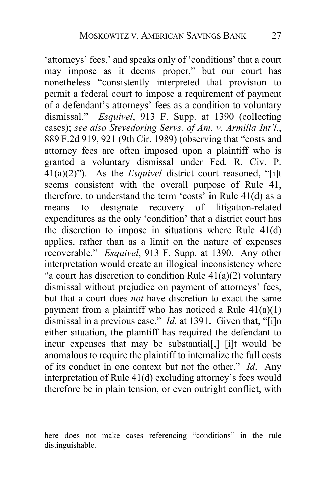'attorneys' fees,' and speaks only of 'conditions' that a court may impose as it deems proper," but our court has nonetheless "consistently interpreted that provision to permit a federal court to impose a requirement of payment of a defendant's attorneys' fees as a condition to voluntary dismissal." *Esquivel*, 913 F. Supp. at 1390 (collecting cases); *see also Stevedoring Servs. of Am. v. Armilla Int'l.*, 889 F.2d 919, 921 (9th Cir. 1989) (observing that "costs and attorney fees are often imposed upon a plaintiff who is granted a voluntary dismissal under Fed. R. Civ. P. 41(a)(2)"). As the *Esquivel* district court reasoned, "[i]t seems consistent with the overall purpose of Rule 41, therefore, to understand the term 'costs' in Rule 41(d) as a means to designate recovery of litigation-related expenditures as the only 'condition' that a district court has the discretion to impose in situations where Rule 41(d) applies, rather than as a limit on the nature of expenses recoverable." *Esquivel*, 913 F. Supp. at 1390. Any other interpretation would create an illogical inconsistency where "a court has discretion to condition Rule  $41(a)(2)$  voluntary dismissal without prejudice on payment of attorneys' fees, but that a court does *not* have discretion to exact the same payment from a plaintiff who has noticed a Rule  $41(a)(1)$ dismissal in a previous case." *Id*. at 1391. Given that, "[i]n either situation, the plaintiff has required the defendant to incur expenses that may be substantial[,] [i]t would be anomalous to require the plaintiff to internalize the full costs of its conduct in one context but not the other." *Id*. Any interpretation of Rule 41(d) excluding attorney's fees would therefore be in plain tension, or even outright conflict, with

here does not make cases referencing "conditions" in the rule distinguishable.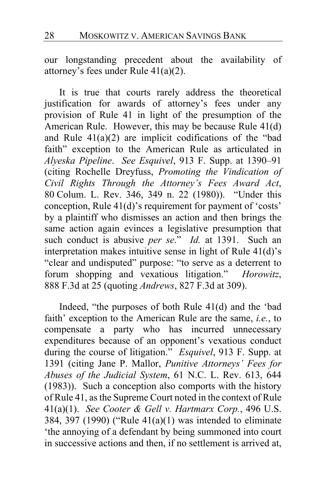our longstanding precedent about the availability of attorney's fees under Rule 41(a)(2).

It is true that courts rarely address the theoretical justification for awards of attorney's fees under any provision of Rule 41 in light of the presumption of the American Rule. However, this may be because Rule 41(d) and Rule 41(a)(2) are implicit codifications of the "bad faith" exception to the American Rule as articulated in *Alyeska Pipeline*. *See Esquivel*, 913 F. Supp. at 1390–91 (citing Rochelle Dreyfuss, *Promoting the Vindication of Civil Rights Through the Attorney's Fees Award Act*, 80 Colum. L. Rev. 346, 349 n. 22 (1980)). "Under this conception, Rule 41(d)'s requirement for payment of 'costs' by a plaintiff who dismisses an action and then brings the same action again evinces a legislative presumption that such conduct is abusive *per se*." *Id.* at 1391. Such an interpretation makes intuitive sense in light of Rule 41(d)'s "clear and undisputed" purpose: "to serve as a deterrent to forum shopping and vexatious litigation." *Horowitz*, 888 F.3d at 25 (quoting *Andrews*, 827 F.3d at 309).

Indeed, "the purposes of both Rule 41(d) and the 'bad faith' exception to the American Rule are the same, *i.e.*, to compensate a party who has incurred unnecessary expenditures because of an opponent's vexatious conduct during the course of litigation." *Esquivel*, 913 F. Supp. at 1391 (citing Jane P. Mallor, *Punitive Attorneys' Fees for Abuses of the Judicial System*, 61 N.C. L. Rev. 613, 644 (1983)). Such a conception also comports with the history of Rule 41, as the Supreme Court noted in the context of Rule 41(a)(1). *See Cooter & Gell v. Hartmarx Corp.*, 496 U.S. 384, 397 (1990) ("Rule 41(a)(1) was intended to eliminate 'the annoying of a defendant by being summoned into court in successive actions and then, if no settlement is arrived at,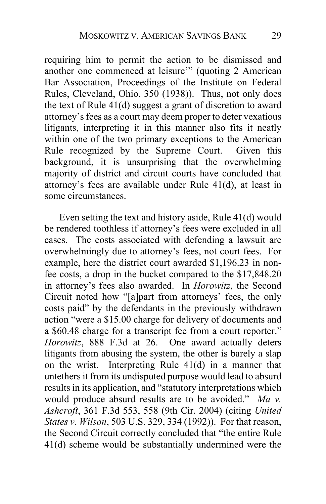requiring him to permit the action to be dismissed and another one commenced at leisure'" (quoting 2 American Bar Association, Proceedings of the Institute on Federal Rules, Cleveland, Ohio, 350 (1938)). Thus, not only does the text of Rule 41(d) suggest a grant of discretion to award attorney's fees as a court may deem proper to deter vexatious litigants, interpreting it in this manner also fits it neatly within one of the two primary exceptions to the American Rule recognized by the Supreme Court. Given this background, it is unsurprising that the overwhelming majority of district and circuit courts have concluded that attorney's fees are available under Rule 41(d), at least in some circumstances.

Even setting the text and history aside, Rule 41(d) would be rendered toothless if attorney's fees were excluded in all cases. The costs associated with defending a lawsuit are overwhelmingly due to attorney's fees, not court fees. For example, here the district court awarded \$1,196.23 in nonfee costs, a drop in the bucket compared to the \$17,848.20 in attorney's fees also awarded. In *Horowitz*, the Second Circuit noted how "[a]part from attorneys' fees, the only costs paid" by the defendants in the previously withdrawn action "were a \$15.00 charge for delivery of documents and a \$60.48 charge for a transcript fee from a court reporter." *Horowitz*, 888 F.3d at 26.One award actually deters litigants from abusing the system, the other is barely a slap on the wrist. Interpreting Rule 41(d) in a manner that untethers it from its undisputed purpose would lead to absurd results in its application, and "statutory interpretations which would produce absurd results are to be avoided." *Ma v. Ashcroft*, 361 F.3d 553, 558 (9th Cir. 2004) (citing *United States v. Wilson*, 503 U.S. 329, 334 (1992)). For that reason, the Second Circuit correctly concluded that "the entire Rule 41(d) scheme would be substantially undermined were the